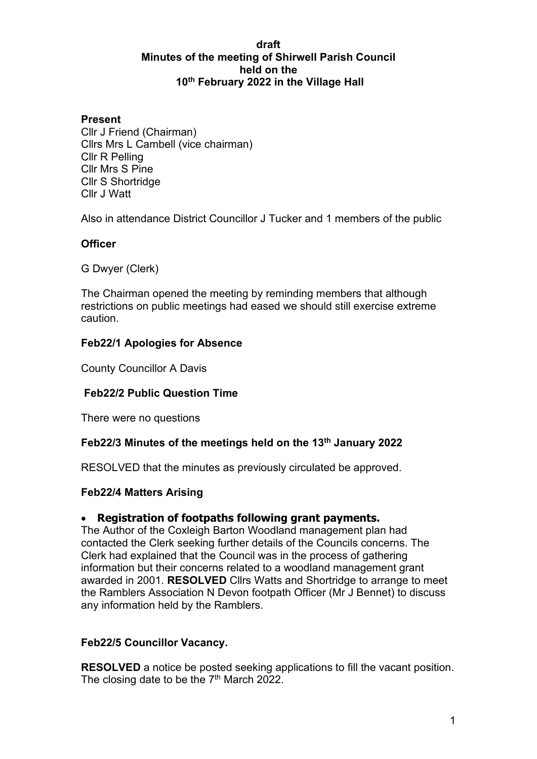#### **draft Minutes of the meeting of Shirwell Parish Council held on the 10th February 2022 in the Village Hall**

### **Present**

Cllr J Friend (Chairman) Cllrs Mrs L Cambell (vice chairman) Cllr R Pelling Cllr Mrs S Pine Cllr S Shortridge Cllr J Watt

Also in attendance District Councillor J Tucker and 1 members of the public

### **Officer**

G Dwyer (Clerk)

The Chairman opened the meeting by reminding members that although restrictions on public meetings had eased we should still exercise extreme caution.

### **Feb22/1 Apologies for Absence**

County Councillor A Davis

### **Feb22/2 Public Question Time**

There were no questions

### **Feb22/3 Minutes of the meetings held on the 13th January 2022**

RESOLVED that the minutes as previously circulated be approved.

### **Feb22/4 Matters Arising**

### • **Registration of footpaths following grant payments.**

The Author of the Coxleigh Barton Woodland management plan had contacted the Clerk seeking further details of the Councils concerns. The Clerk had explained that the Council was in the process of gathering information but their concerns related to a woodland management grant awarded in 2001. **RESOLVED** Cllrs Watts and Shortridge to arrange to meet the Ramblers Association N Devon footpath Officer (Mr J Bennet) to discuss any information held by the Ramblers.

### **Feb22/5 Councillor Vacancy.**

**RESOLVED** a notice be posted seeking applications to fill the vacant position. The closing date to be the  $7<sup>th</sup>$  March 2022.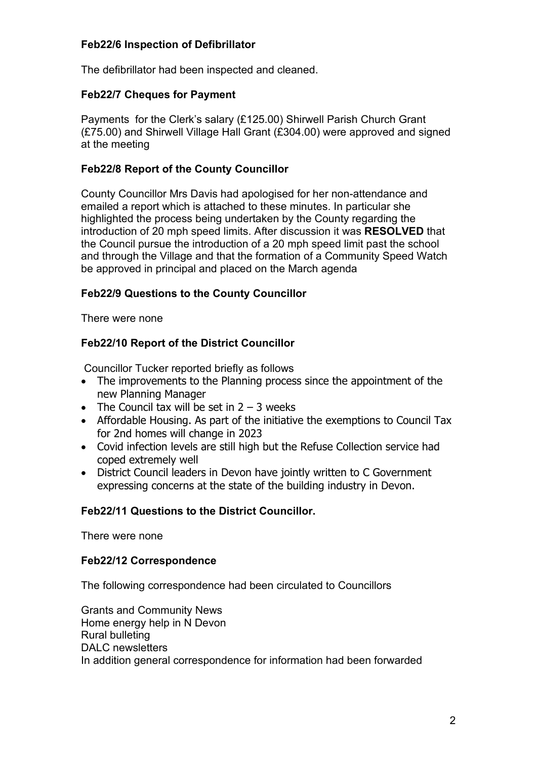### **Feb22/6 Inspection of Defibrillator**

The defibrillator had been inspected and cleaned.

### **Feb22/7 Cheques for Payment**

Payments for the Clerk's salary (£125.00) Shirwell Parish Church Grant (£75.00) and Shirwell Village Hall Grant (£304.00) were approved and signed at the meeting

### **Feb22/8 Report of the County Councillor**

County Councillor Mrs Davis had apologised for her non-attendance and emailed a report which is attached to these minutes. In particular she highlighted the process being undertaken by the County regarding the introduction of 20 mph speed limits. After discussion it was **RESOLVED** that the Council pursue the introduction of a 20 mph speed limit past the school and through the Village and that the formation of a Community Speed Watch be approved in principal and placed on the March agenda

## **Feb22/9 Questions to the County Councillor**

There were none

## **Feb22/10 Report of the District Councillor**

Councillor Tucker reported briefly as follows

- The improvements to the Planning process since the appointment of the new Planning Manager
- The Council tax will be set in  $2 3$  weeks
- Affordable Housing. As part of the initiative the exemptions to Council Tax for 2nd homes will change in 2023
- Covid infection levels are still high but the Refuse Collection service had coped extremely well
- District Council leaders in Devon have jointly written to C Government expressing concerns at the state of the building industry in Devon.

### **Feb22/11 Questions to the District Councillor.**

There were none

### **Feb22/12 Correspondence**

The following correspondence had been circulated to Councillors

Grants and Community News Home energy help in N Devon Rural bulleting DALC newsletters In addition general correspondence for information had been forwarded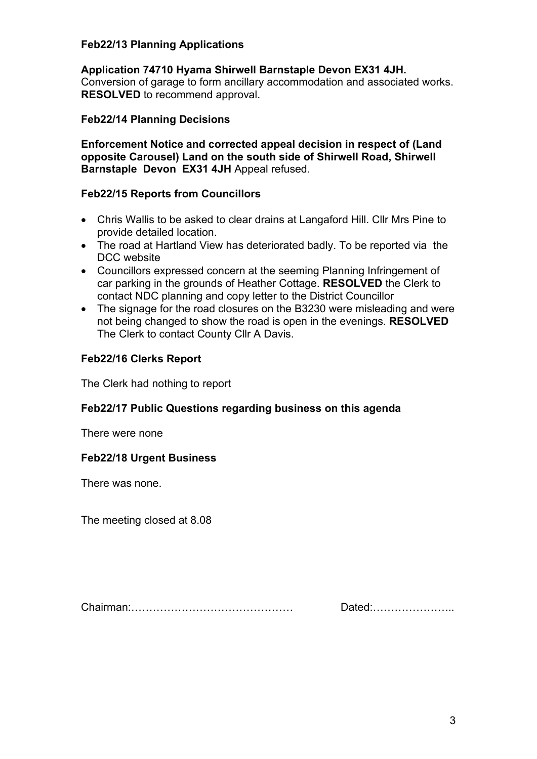### **Feb22/13 Planning Applications**

#### **Application 74710 Hyama Shirwell Barnstaple Devon EX31 4JH.**

Conversion of garage to form ancillary accommodation and associated works. **RESOLVED** to recommend approval.

#### **Feb22/14 Planning Decisions**

**Enforcement Notice and corrected appeal decision in respect of (Land opposite Carousel) Land on the south side of Shirwell Road, Shirwell Barnstaple Devon EX31 4JH** Appeal refused.

#### **Feb22/15 Reports from Councillors**

- Chris Wallis to be asked to clear drains at Langaford Hill. Cllr Mrs Pine to provide detailed location.
- The road at Hartland View has deteriorated badly. To be reported via the DCC website
- Councillors expressed concern at the seeming Planning Infringement of car parking in the grounds of Heather Cottage. **RESOLVED** the Clerk to contact NDC planning and copy letter to the District Councillor
- The signage for the road closures on the B3230 were misleading and were not being changed to show the road is open in the evenings. **RESOLVED** The Clerk to contact County Cllr A Davis.

### **Feb22/16 Clerks Report**

The Clerk had nothing to report

### **Feb22/17 Public Questions regarding business on this agenda**

There were none

#### **Feb22/18 Urgent Business**

There was none.

The meeting closed at 8.08

Chairman:……………………………………… Dated:…………………..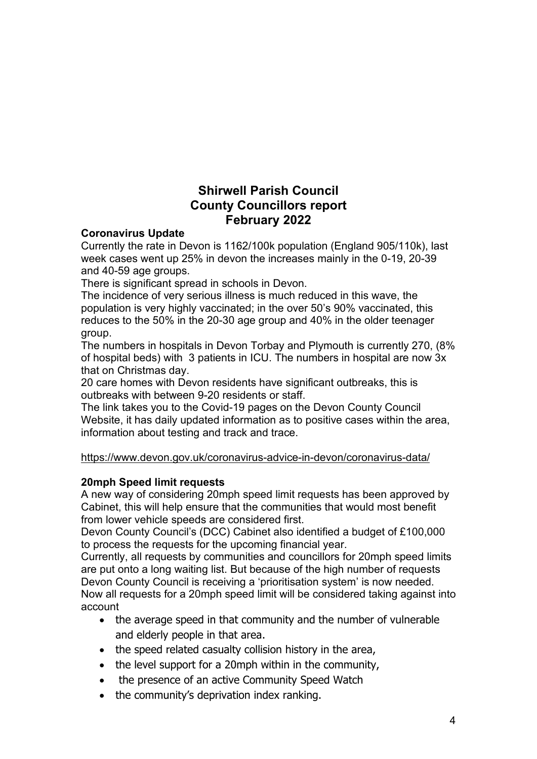# **Shirwell Parish Council County Councillors report February 2022**

### **Coronavirus Update**

Currently the rate in Devon is 1162/100k population (England 905/110k), last week cases went up 25% in devon the increases mainly in the 0-19, 20-39 and 40-59 age groups.

There is significant spread in schools in Devon.

The incidence of very serious illness is much reduced in this wave, the population is very highly vaccinated; in the over 50's 90% vaccinated, this reduces to the 50% in the 20-30 age group and 40% in the older teenager group.

The numbers in hospitals in Devon Torbay and Plymouth is currently 270, (8% of hospital beds) with 3 patients in ICU. The numbers in hospital are now 3x that on Christmas day.

20 care homes with Devon residents have significant outbreaks, this is outbreaks with between 9-20 residents or staff.

The link takes you to the Covid-19 pages on the Devon County Council Website, it has daily updated information as to positive cases within the area, information about testing and track and trace.

### <https://www.devon.gov.uk/coronavirus-advice-in-devon/coronavirus-data/>

### **20mph Speed limit requests**

A new way of considering 20mph speed limit requests has been approved by Cabinet, this will help ensure that the communities that would most benefit from lower vehicle speeds are considered first.

Devon County Council's (DCC) Cabinet also identified a budget of £100,000 to process the requests for the upcoming financial year.

Currently, all requests by communities and councillors for 20mph speed limits are put onto a long waiting list. But because of the high number of requests Devon County Council is receiving a 'prioritisation system' is now needed. Now all requests for a 20mph speed limit will be considered taking against into account

- the average speed in that community and the number of vulnerable and elderly people in that area.
- the speed related casualty collision history in the area,
- the level support for a 20mph within in the community,
- the presence of an active Community Speed Watch
- the community's deprivation index ranking.